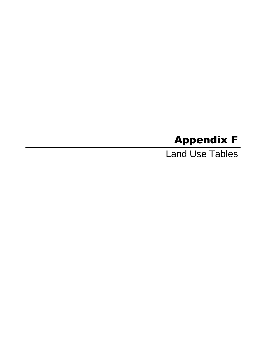# Appendix F

Land Use Tables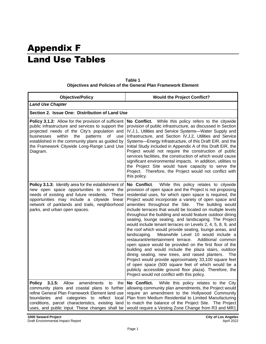# Appendix F Land Use Tables

| <b>Objective/Policy</b>                                                                                                                                                                                                                                                                                                       | <b>Would the Project Conflict?</b>                                                                                                                                                                                                                                                                                                                                                                                                                                                                                                                                                                                                                                                                                                                                                                                                                                                                                                                                                                                                                                                                                              |
|-------------------------------------------------------------------------------------------------------------------------------------------------------------------------------------------------------------------------------------------------------------------------------------------------------------------------------|---------------------------------------------------------------------------------------------------------------------------------------------------------------------------------------------------------------------------------------------------------------------------------------------------------------------------------------------------------------------------------------------------------------------------------------------------------------------------------------------------------------------------------------------------------------------------------------------------------------------------------------------------------------------------------------------------------------------------------------------------------------------------------------------------------------------------------------------------------------------------------------------------------------------------------------------------------------------------------------------------------------------------------------------------------------------------------------------------------------------------------|
| <b>Land Use Chapter</b>                                                                                                                                                                                                                                                                                                       |                                                                                                                                                                                                                                                                                                                                                                                                                                                                                                                                                                                                                                                                                                                                                                                                                                                                                                                                                                                                                                                                                                                                 |
| Section 2. Issue One: Distribution of Land Use                                                                                                                                                                                                                                                                                |                                                                                                                                                                                                                                                                                                                                                                                                                                                                                                                                                                                                                                                                                                                                                                                                                                                                                                                                                                                                                                                                                                                                 |
| Policy 3.1.2: Allow for the provision of sufficient<br>public infrastructure and services to support the<br>projected needs of the City's population and<br>within<br>patterns<br>businesses<br>the<br>0f<br>use<br>established in the community plans as guided by<br>the Framework Citywide Long-Range Land Use<br>Diagram. | No Conflict. While this policy refers to the citywide<br>provision of public infrastructure, as discussed in Section<br>IV.J.1, Utilities and Service Systems-Water Supply and<br>Infrastructure, and Section IV.J.2, Utilities and Service<br>Systems-Energy Infrastructure, of this Draft EIR, and the<br>Initial Study included in Appendix A of this Draft EIR, the<br>Project would not require the construction of public<br>services facilities, the construction of which would cause<br>significant environmental impacts. In addition, utilities to<br>the Project Site would have capacity to serve the<br>Project. Therefore, the Project would not conflict with<br>this policy.                                                                                                                                                                                                                                                                                                                                                                                                                                   |
| Policy 3.1.3: Identify area for the establishment of<br>new open space opportunities to serve the<br>needs of existing and future residents. These<br>opportunities may include a citywide linear<br>network of parklands and trails, neighborhood<br>parks, and urban open spaces.                                           | While this policy relates to citywide<br>No Conflict.<br>provision of open space and the Project is not proposing<br>residential uses, for which open space is required, the<br>Project would incorporate a variety of open space and<br>amenities throughout the Site.<br>The building would<br>include terraces that would be located on multiple levels<br>throughout the building and would feature outdoor dining<br>seating, lounge seating, and landscaping. The Project<br>would include tenant terraces on Levels 2, 4, 5, 8, 9, and<br>the roof which would provide seating, lounge areas, and<br>landscaping.<br>Meanwhile Level 10 would include a<br>restaurant/entertainment terrace.<br>Additional common<br>open space would be provided on the first floor of the<br>building and would include the plaza stairs, outdoor<br>dining seating, new trees, and raised planters.<br>The<br>Project would provide approximately 33,100 square feet<br>of open space (500 square feet of which would be a<br>publicly accessible ground floor plaza). Therefore, the<br>Project would not conflict with this policy. |
| Allow<br>3.1.5:<br>amendments<br>Policy<br>to<br>the<br>community plans and coastal plans to further<br>refine General Plan Framework Element land use<br>boundaries and categories to reflect local<br>conditions, parcel characteristics, existing land<br>uses, and public input. These changes shall be                   | No Conflict.<br>While this policy relates to the City<br>allowing community plan amendments, the Project would<br>require an amendment to the Hollywood Community<br>Plan from Medium Residential to Limited Manufacturing<br>to match the balance of the Project Site. The Project<br>would require a Vesting Zone Change from R3 and MR1                                                                                                                                                                                                                                                                                                                                                                                                                                                                                                                                                                                                                                                                                                                                                                                      |

| Table 1                                                              |
|----------------------------------------------------------------------|
| <b>Objectives and Policies of the General Plan Framework Element</b> |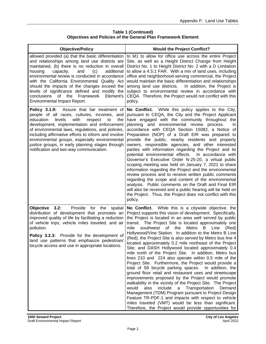# **Table 1 (Continued) Objectives and Policies of the General Plan Framework Element**

| <b>Objective/Policy</b>                                                                                                                                                                                                                                                                                                                                                                                                                                                                                  | <b>Would the Project Conflict?</b>                                                                                                                                                                                                                                                                                                                                                                                                                                                                                                                                                                                                                                                                                                                                                                                                                                                                                                                                                                                                                                                                                                                                                                                                                      |
|----------------------------------------------------------------------------------------------------------------------------------------------------------------------------------------------------------------------------------------------------------------------------------------------------------------------------------------------------------------------------------------------------------------------------------------------------------------------------------------------------------|---------------------------------------------------------------------------------------------------------------------------------------------------------------------------------------------------------------------------------------------------------------------------------------------------------------------------------------------------------------------------------------------------------------------------------------------------------------------------------------------------------------------------------------------------------------------------------------------------------------------------------------------------------------------------------------------------------------------------------------------------------------------------------------------------------------------------------------------------------------------------------------------------------------------------------------------------------------------------------------------------------------------------------------------------------------------------------------------------------------------------------------------------------------------------------------------------------------------------------------------------------|
| allowed provided (a) that the basic differentiation<br>and relationships among land use districts are<br>maintained, (b) there is no reduction in overall<br>additional<br>housing<br>capacity,<br>and<br>(c)<br>environmental review is conducted in accordance<br>with the California Environmental Quality Act<br>should the impacts of the changes exceed the<br>levels of significance defined and modify the<br>conclusions<br>the<br>Framework<br>Element's<br>of<br>Environmental Impact Report. | to M1 to allow for office use across the entire Project<br>Site, as well as a Height District Change from Height<br>District No. 1 to Height District No. 2 with a D Limitation<br>to allow a 4.5:1 FAR. With a mix of land uses, including<br>office and neighborhood-serving commercial, the Project<br>would maintain the basic differentiation and relationships<br>among land use districts.<br>In addition, the Project is<br>subject to environmental review in accordance with<br>CEQA. Therefore, the Project would not conflict with this<br>policy.                                                                                                                                                                                                                                                                                                                                                                                                                                                                                                                                                                                                                                                                                          |
| <b>Policy 3.1.9:</b> Assure that fair treatment of<br>people of all races, cultures, incomes, and<br>education<br>levels<br>with<br>respect<br>to<br>the<br>development, implementation and enforcement<br>of environmental laws, regulations, and policies,<br>including affirmative efforts to inform and involve<br>environmental groups, especially environmental<br>justice groups, in early planning stages through<br>notification and two-way communication.                                     | While this policy applies to the City,<br>No Conflict.<br>pursuant to CEQA, the City and the Project Applicant<br>have engaged with the community throughout the<br>planning and environmental review process.<br>In.<br>accordance with CEQA Section 15082, a Notice of<br>Preparation (NOP) of a Draft EIR was prepared to<br>provide the public, nearby residents and property<br>owners, responsible agencies, and other interested<br>parties with information regarding the Project and its<br>potential environmental effects. In accordance with<br>Governor's Executive Order N-25-20, a virtual public<br>scoping meeting was held on January 7, 2021 to share<br>information regarding the Project and the environmental<br>review process and to receive written public comments<br>regarding the scope and content of the environmental<br>analysis. Public comments on the Draft and Final EIR<br>will also be received and a public hearing will be held on<br>the Project. Thus, the Project does not conflict with this<br>policy.                                                                                                                                                                                                     |
| Objective 3.2:<br>Provide for the<br>spatial<br>distribution of development that promotes an<br>improved quality of life by facilitating a reduction<br>of vehicle trips, vehicle miles traveled, and air<br>pollution.<br><b>Policy 3.2.3:</b> Provide for the development of<br>land use patterns that emphasize pedestrian/<br>bicycle access and use in appropriate locations.                                                                                                                       | No Conflict. While this is a citywide objective, the<br>Project supports this vision of development. Specifically,<br>the Project is located in an area well served by public<br>transit. The Project Site is located approximately one<br>southwest of the<br>Metro<br>Line<br>mile<br>B<br>(Red)<br>Hollywood/Vine Station. In addition to the Metro B Line<br>(Red), the Project Site is also served by Metro bus line 4<br>located approximately 0.2 mile northeast of the Project<br>Site; and DASH Hollywood located approximately 0.4<br>mile north of the Project Site. In addition, Metro bus<br>lines 210 and 224 also operate within 0.5 mile of the<br>Project Site. Furthermore, the Project would provide a<br>total of 58 bicycle parking spaces. In addition, the<br>ground floor retail and restaurant uses and streetscape<br>improvements proposed by the Project would promote<br>walkability in the vicinity of the Project Site. The Project<br>also include a Transportation<br>would<br>Demand<br>Management (TDM) Program pursuant to Project Design<br>Feature TR-PDF-1 and impacts with respect to vehicle<br>miles traveled (VMT) would be less than significant.<br>Therefore, the Project would provide opportunities for |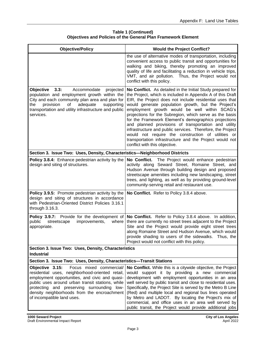| <b>Objective/Policy</b>                                                                                                                                                                                                                                                                                                        | <b>Would the Project Conflict?</b>                                                                                                                                                                                                                                                                                                                                                                                                                                                                                                                                                                                                                                                     |
|--------------------------------------------------------------------------------------------------------------------------------------------------------------------------------------------------------------------------------------------------------------------------------------------------------------------------------|----------------------------------------------------------------------------------------------------------------------------------------------------------------------------------------------------------------------------------------------------------------------------------------------------------------------------------------------------------------------------------------------------------------------------------------------------------------------------------------------------------------------------------------------------------------------------------------------------------------------------------------------------------------------------------------|
|                                                                                                                                                                                                                                                                                                                                | the use of alternative modes of transportation, including<br>convenient access to public transit and opportunities for<br>walking and biking, thereby promoting an improved<br>quality of life and facilitating a reduction in vehicle trips,<br>VMT, and air pollution. Thus, the Project would not<br>conflict with this policy.                                                                                                                                                                                                                                                                                                                                                     |
| 3.3:<br><b>Objective</b><br>Accommodate<br>projected<br>population and employment growth within the<br>City and each community plan area and plan for<br>provision<br>of<br>adequate<br>the<br>supporting<br>transportation and utility infrastructure and public<br>services.                                                 | No Conflict. As detailed in the Initial Study prepared for<br>the Project, which is included in Appendix A of this Draft<br>EIR, the Project does not include residential uses that<br>would generate population growth, but the Project's<br>employment growth would be well within SCAG's<br>projections for the Subregion, which serve as the basis<br>for the Framework Element's demographics projections<br>and planned provisions of transportation and utility<br>infrastructure and public services. Therefore, the Project<br>would not require the construction of utilities or<br>transportation infrastructure and the Project would not<br>conflict with this objective. |
| Section 3. Issue Two: Uses, Density, Characteristics-Neighborhood Districts                                                                                                                                                                                                                                                    |                                                                                                                                                                                                                                                                                                                                                                                                                                                                                                                                                                                                                                                                                        |
| <b>Policy 3.8.4:</b> Enhance pedestrian activity by the<br>design and siting of structures.                                                                                                                                                                                                                                    | No Conflict. The Project would enhance pedestrian<br>activity along Seward Street, Romaine Street, and<br>Hudson Avenue through building design and proposed<br>streetscape amenities including new landscaping, street<br>trees, and lighting, as well as by providing ground-level<br>community-serving retail and restaurant use.                                                                                                                                                                                                                                                                                                                                                   |
| Policy 3.9.5: Promote pedestrian activity by the<br>design and siting of structures in accordance<br>with Pedestrian-Oriented District Policies 3.16.1<br>through 3.16.3.                                                                                                                                                      | No Conflict. Refer to Policy 3.8.4 above.                                                                                                                                                                                                                                                                                                                                                                                                                                                                                                                                                                                                                                              |
| <b>Policy 3.9.7:</b> Provide for the development of<br>public<br>streetscape<br>improvements,<br>where<br>appropriate.                                                                                                                                                                                                         | No Conflict. Refer to Policy 3.8.4 above. In addition,<br>there are currently no street trees adjacent to the Project<br>Site and the Project would provide eight street trees<br>along Romaine Street and Hudson Avenue, which would<br>provide shading to users of the sidewalks. Thus, the<br>Project would not conflict with this policy.                                                                                                                                                                                                                                                                                                                                          |
| Section 3. Issue Two: Uses, Density, Characteristics<br><b>Industrial</b>                                                                                                                                                                                                                                                      |                                                                                                                                                                                                                                                                                                                                                                                                                                                                                                                                                                                                                                                                                        |
| Section 3. Issue Two: Uses, Density, Characteristics-Transit Stations                                                                                                                                                                                                                                                          |                                                                                                                                                                                                                                                                                                                                                                                                                                                                                                                                                                                                                                                                                        |
| Focus mixed commercial/<br>Objective 3.15:<br>residential uses, neighborhood-oriented retail,<br>employment opportunities, and civic and quasi-<br>public uses around urban transit stations, while<br>protecting and preserving surrounding low-<br>density neighborhoods from the encroachment<br>of incompatible land uses. | No Conflict. While this is a citywide objective, the Project<br>would support it by providing a new commercial<br>development with employment opportunities in an area<br>well served by public transit and close to residential uses.<br>Specifically, the Project Site is served by the Metro B Line<br>(Red) and multiple local and regional bus lines operated<br>by Metro and LADOT. By locating the Project's mix of<br>commercial, and office uses in an area well served by<br>public transit, the Project would provide additional jobs                                                                                                                                       |

### **Table 1 (Continued) Objectives and Policies of the General Plan Framework Element**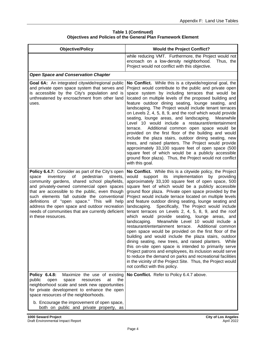| <b>Table 1 (Continued)</b>                                           |  |
|----------------------------------------------------------------------|--|
| <b>Objectives and Policies of the General Plan Framework Element</b> |  |

| <b>Objective/Policy</b>                                                                                                                                                                                                                                                                                                                                                                                                                                                            | <b>Would the Project Conflict?</b>                                                                                                                                                                                                                                                                                                                                                                                                                                                                                                                                                                                                                                                                                                                                                                                                                                                                                                                                                                                                                                                                                                                                            |
|------------------------------------------------------------------------------------------------------------------------------------------------------------------------------------------------------------------------------------------------------------------------------------------------------------------------------------------------------------------------------------------------------------------------------------------------------------------------------------|-------------------------------------------------------------------------------------------------------------------------------------------------------------------------------------------------------------------------------------------------------------------------------------------------------------------------------------------------------------------------------------------------------------------------------------------------------------------------------------------------------------------------------------------------------------------------------------------------------------------------------------------------------------------------------------------------------------------------------------------------------------------------------------------------------------------------------------------------------------------------------------------------------------------------------------------------------------------------------------------------------------------------------------------------------------------------------------------------------------------------------------------------------------------------------|
|                                                                                                                                                                                                                                                                                                                                                                                                                                                                                    | while reducing VMT. Furthermore, the Project would not<br>encroach on a low-density neighborhood.<br>Thus, the<br>Project would not conflict with this objective.                                                                                                                                                                                                                                                                                                                                                                                                                                                                                                                                                                                                                                                                                                                                                                                                                                                                                                                                                                                                             |
| <b>Open Space and Conservation Chapter</b>                                                                                                                                                                                                                                                                                                                                                                                                                                         |                                                                                                                                                                                                                                                                                                                                                                                                                                                                                                                                                                                                                                                                                                                                                                                                                                                                                                                                                                                                                                                                                                                                                                               |
| Goal 6A: An integrated citywide/regional public<br>and private open space system that serves and<br>is accessible by the City's population and is<br>unthreatened by encroachment from other land<br>uses.                                                                                                                                                                                                                                                                         | No Conflict. While this is a citywide/regional goal, the<br>Project would contribute to the public and private open<br>space system by including terraces that would be<br>located on multiple levels of the proposed building and<br>feature outdoor dining seating, lounge seating, and<br>landscaping. The Project would include tenant terraces<br>on Levels 2, 4, 5, 8, 9, and the roof which would provide<br>seating, lounge areas, and landscaping.<br>Meanwhile<br>Level 10 would include a restaurant/entertainment<br>Additional common open space would be<br>terrace.<br>provided on the first floor of the building and would<br>include the plaza stairs, outdoor dining seating, new<br>trees, and raised planters. The Project would provide<br>approximately 33,100 square feet of open space (500<br>square feet of which would be a publicly accessible<br>ground floor plaza). Thus, the Project would not conflict<br>with this goal.                                                                                                                                                                                                                   |
| Policy 6.4.7: Consider as part of the City's open<br>inventory<br>of<br>pedestrian<br>streets,<br>space<br>community gardens, shared school playfields,<br>and privately-owned commercial open spaces<br>that are accessible to the public, even though<br>such elements fall outside the conventional<br>definitions of "open space." This will help<br>address the open space and outdoor recreation<br>needs of communities that are currently deficient<br>in these resources. | No Conflict. While this is a citywide policy, the Project<br>implementation by<br>would<br>support<br>its<br>providing<br>approximately 33,100 square feet of open space, 500<br>square feet of which would be a publicly accessible<br>ground floor plaza. Private open space provided by the<br>Project would include terrace located on multiple levels<br>and feature outdoor dining seating, lounge seating and<br>Specifically, The Project would include<br>landscaping.<br>tenant terraces on Levels 2, 4, 5, 8, 9, and the roof<br>which would provide seating, lounge areas, and<br>Meanwhile Level 10 would include a<br>landscaping.<br>restaurant/entertainment terrace.<br>Additional common<br>open space would be provided on the first floor of the<br>building and would include the plaza stairs, outdoor<br>dining seating, new trees, and raised planters.<br>While<br>this on-site open space is intended to primarily serve<br>Project patrons and employees, its inclusion would serve<br>to reduce the demand on parks and recreational facilities<br>in the vicinity of the Project Site. Thus, the Project would<br>not conflict with this policy. |
| Policy 6.4.8:<br>Maximize the use of existing<br>public<br>open<br>space<br>resources<br>at<br>the<br>neighborhood scale and seek new opportunities<br>for private development to enhance the open<br>space resources of the neighborhoods.                                                                                                                                                                                                                                        | No Conflict. Refer to Policy 6.4.7 above.                                                                                                                                                                                                                                                                                                                                                                                                                                                                                                                                                                                                                                                                                                                                                                                                                                                                                                                                                                                                                                                                                                                                     |
| b. Encourage the improvement of open space,<br>both on public and private property, as                                                                                                                                                                                                                                                                                                                                                                                             |                                                                                                                                                                                                                                                                                                                                                                                                                                                                                                                                                                                                                                                                                                                                                                                                                                                                                                                                                                                                                                                                                                                                                                               |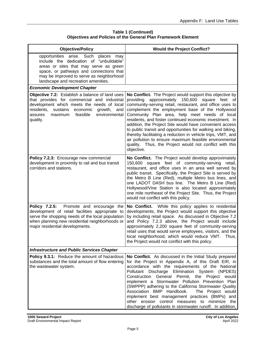# **Table 1 (Continued) Objectives and Policies of the General Plan Framework Element**

| <b>Objective/Policy</b>                                                                                                                                                                                                                                             | <b>Would the Project Conflict?</b>                                                                                                                                                                                                                                                                                                                                                                                                                                                                                                                                                                                                                                              |
|---------------------------------------------------------------------------------------------------------------------------------------------------------------------------------------------------------------------------------------------------------------------|---------------------------------------------------------------------------------------------------------------------------------------------------------------------------------------------------------------------------------------------------------------------------------------------------------------------------------------------------------------------------------------------------------------------------------------------------------------------------------------------------------------------------------------------------------------------------------------------------------------------------------------------------------------------------------|
| opportunities arise. Such<br>places<br>may<br>include the dedication of "unbuildable"<br>areas or sites that may serve as green<br>space, or pathways and connections that<br>may be improved to serve as neighborhood<br>landscape and recreation amenities.       |                                                                                                                                                                                                                                                                                                                                                                                                                                                                                                                                                                                                                                                                                 |
| <b>Economic Development Chapter</b>                                                                                                                                                                                                                                 |                                                                                                                                                                                                                                                                                                                                                                                                                                                                                                                                                                                                                                                                                 |
| Objective 7.2: Establish a balance of land uses<br>that provides for commercial and industrial<br>development which meets the needs of local<br>residents,<br>sustains<br>economic<br>growth,<br>and<br>maximum<br>feasible<br>environmental<br>assures<br>quality. | No Conflict. The Project would support this objective by<br>approximately<br>150,600<br>providing<br>square feet<br>of  <br>community-serving retail, restaurant, and office uses to<br>complement the employment base of the Hollywood<br>Community Plan area, help meet needs of local<br>residents, and foster continued economic investment. In<br>addition, the Project Site would have convenient access<br>to public transit and opportunities for walking and biking,<br>thereby facilitating a reduction in vehicle trips, VMT, and<br>air pollution to ensure maximum feasible environmental<br>quality. Thus, the Project would not conflict with this<br>objective. |
| Policy 7.2.3: Encourage new commercial<br>development in proximity to rail and bus transit<br>corridors and stations.                                                                                                                                               | No Conflict. The Project would develop approximately<br>square feet of community-serving<br>150,600<br>retail,<br>restaurant, and office uses in an area well served by<br>public transit. Specifically, the Project Site is served by<br>the Metro B Line (Red), multiple Metro bus lines, and<br>one LADOT DASH bus line. The Metro B Line (Red)<br>Hollywood/Vine Station is also located approximately<br>one mile northeast of the Project Site. Thus, the Project<br>would not conflict with this policy.                                                                                                                                                                 |
| Policy 7.2.5:<br>Promote and encourage the<br>development of retail facilities appropriate to<br>serve the shopping needs of the local population<br>when planning new residential neighborhoods or<br>major residential developments.                              | No Conflict.<br>While this policy applies to residential<br>developments, the Project would support this objective<br>by including retail space. As discussed in Objective 7.2<br>and Policy 7.2.3 above, the Project would include<br>approximately 2,200 square feet of community-serving<br>retail uses that would serve employees, visitors, and the<br>local neighborhood, which would reduce VMT. Thus,<br>the Project would not conflict with this policy.                                                                                                                                                                                                               |
| <b>Infrastructure and Public Services Chapter</b>                                                                                                                                                                                                                   |                                                                                                                                                                                                                                                                                                                                                                                                                                                                                                                                                                                                                                                                                 |
| Policy 9.3.1: Reduce the amount of hazardous<br>substances and the total amount of flow entering<br>the wastewater system.                                                                                                                                          | No Conflict. As discussed in the Initial Study prepared<br>for the Project in Appendix A, of this Draft EIR, in<br>accordance with the requirements of the National<br>Pollutant Discharge Elimination System (NPDES)<br>Construction General Permit, the Project would<br>implement a Stormwater Pollution Prevention Plan<br>(SWPPP) adhering to the California Stormwater Quality<br>Association BMP Handbook.<br>The Project would<br>implement best management practices (BMPs) and<br>other erosion control measures to minimize the<br>discharge of pollutants in stormwater runoff. In addition,                                                                        |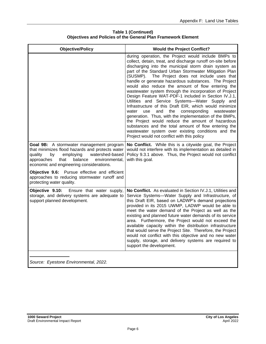| <b>Objective/Policy</b>                                                                                                                                                                                                                     | <b>Would the Project Conflict?</b>                                                                                                                                                                                                                                                                                                                                                                                                                                                                                                                                                                                                                                                                                                                                                                                                                                                                                                                                           |
|---------------------------------------------------------------------------------------------------------------------------------------------------------------------------------------------------------------------------------------------|------------------------------------------------------------------------------------------------------------------------------------------------------------------------------------------------------------------------------------------------------------------------------------------------------------------------------------------------------------------------------------------------------------------------------------------------------------------------------------------------------------------------------------------------------------------------------------------------------------------------------------------------------------------------------------------------------------------------------------------------------------------------------------------------------------------------------------------------------------------------------------------------------------------------------------------------------------------------------|
|                                                                                                                                                                                                                                             | during operation, the Project would include BMPs to<br>collect, detain, treat, and discharge runoff on-site before<br>discharging into the municipal storm drain system as<br>part of the Standard Urban Stormwater Mitigation Plan<br>(SUSMP).<br>The Project does not include uses that<br>handle or generate hazardous substances. The Project<br>would also reduce the amount of flow entering the<br>wastewater system through the incorporation of Project<br>Design Feature WAT-PDF-1 included in Section IV.J.1,<br>Utilities and Service Systems-Water Supply and<br>Infrastructure of this Draft EIR, which would minimize<br>use<br>and<br>the<br>corresponding<br>water<br>wastewater<br>generation. Thus, with the implementation of the BMPs,<br>the Project would reduce the amount of hazardous<br>substances and the total amount of flow entering the<br>wastewater system over existing conditions and the<br>Project would not conflict with this policy |
| Goal 9B: A stormwater management program<br>that minimizes flood hazards and protects water<br>quality<br>employing<br>watershed-based<br>by<br>approaches<br>that<br>balance<br>environmental.<br>economic and engineering considerations. | No Conflict. While this is a citywide goal, the Project<br>would not interfere with its implementation as detailed in<br>Policy 9.3.1 above. Thus, the Project would not conflict<br>with this goal.                                                                                                                                                                                                                                                                                                                                                                                                                                                                                                                                                                                                                                                                                                                                                                         |
| Objective 9.6: Pursue effective and efficient<br>approaches to reducing stormwater runoff and<br>protecting water quality.                                                                                                                  |                                                                                                                                                                                                                                                                                                                                                                                                                                                                                                                                                                                                                                                                                                                                                                                                                                                                                                                                                                              |
| Objective 9.10:<br>Ensure that water supply,<br>storage, and delivery systems are adequate to<br>support planned development.                                                                                                               | No Conflict. As evaluated in Section IV.J.1, Utilities and<br>Service Systems-Water Supply and Infrastructure, of<br>this Draft EIR, based on LADWP's demand projections<br>provided in its 2015 UWMP, LADWP would be able to<br>meet the water demand of the Project as well as the<br>existing and planned future water demands of its service<br>area. Furthermore, the Project would not exceed the<br>available capacity within the distribution infrastructure<br>that would serve the Project Site. Therefore, the Project<br>would not conflict with this objective and no new water<br>supply, storage, and delivery systems are required to<br>support the development.                                                                                                                                                                                                                                                                                            |
|                                                                                                                                                                                                                                             |                                                                                                                                                                                                                                                                                                                                                                                                                                                                                                                                                                                                                                                                                                                                                                                                                                                                                                                                                                              |

**Table 1 (Continued) Objectives and Policies of the General Plan Framework Element**

*Source: Eyestone Environmental, 2022.*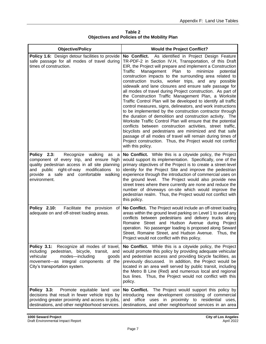| <b>Objective/Policy</b>                                                                                                                                                                                                                              | <b>Would the Project Conflict?</b>                                                                                                                                                                                                                                                                                                                                                                                                                                                                                                                                                                                                                                                                                                                                                                                                                                                                                                                                                                                                                                                                                                                  |
|------------------------------------------------------------------------------------------------------------------------------------------------------------------------------------------------------------------------------------------------------|-----------------------------------------------------------------------------------------------------------------------------------------------------------------------------------------------------------------------------------------------------------------------------------------------------------------------------------------------------------------------------------------------------------------------------------------------------------------------------------------------------------------------------------------------------------------------------------------------------------------------------------------------------------------------------------------------------------------------------------------------------------------------------------------------------------------------------------------------------------------------------------------------------------------------------------------------------------------------------------------------------------------------------------------------------------------------------------------------------------------------------------------------------|
| Policy 1.6: Design detour facilities to provide<br>safe passage for all modes of travel during<br>times of construction.                                                                                                                             | As identified in Project Design Feature<br>No Conflict.<br>TR-PDF-2 in Section IV.H, Transportation, of this Draft<br>EIR, the Project will prepare and implement a Construction<br>Traffic<br>Management Plan<br>minimize<br>to<br>potential<br>construction impacts to the surrounding area related to<br>construction trucks, worker trips, and any possible<br>sidewalk and lane closures and ensure safe passage for<br>all modes of travel during Project construction. As part of<br>the Construction Traffic Management Plan, a Worksite<br>Traffic Control Plan will be developed to identify all traffic<br>control measures, signs, delineators, and work instructions<br>to be implemented by the construction contractor through<br>the duration of demolition and construction activity. The<br>Worksite Traffic Control Plan will ensure that the potential<br>conflicts between construction activities, street traffic,<br>bicyclists and pedestrians are minimized and that safe<br>passage of all modes of travel will remain during times of<br>Project construction. Thus, the Project would not conflict<br>with this policy. |
| Policy 2.3:<br>Recognize walking<br>as<br>- a<br>component of every trip, and ensure high<br>quality pedestrian access in all site planning<br>and public right-of-way modifications<br>to<br>provide a safe and comfortable walking<br>environment. | No Conflict. While this is a citywide policy, the Project<br>would support its implementation. Specifically, one of the<br>primary objectives of the Project is to create a street-level<br>identity for the Project Site and improve the pedestrian<br>experience through the introduction of commercial uses on<br>the ground level. The Project would also provide new<br>street trees where there currently are none and reduce the<br>number of driveways on-site which would improve the<br>pedestrian realm. Thus, the Project would not conflict with<br>this policy.                                                                                                                                                                                                                                                                                                                                                                                                                                                                                                                                                                       |
| <b>Policy 2.10:</b><br>Facilitate the provision<br>of<br>adequate on and off-street loading areas.                                                                                                                                                   | No Conflict. The Project would include an off-street loading<br>areas within the ground level parking on Level 1 to avoid any<br>conflicts between pedestrians and delivery trucks along<br>Romaine Street and Hudson Avenue during Project<br>operation. No passenger loading is proposed along Seward<br>Street, Romaine Street, and Hudson Avenue. Thus, the<br>Project would not conflict with this policy.                                                                                                                                                                                                                                                                                                                                                                                                                                                                                                                                                                                                                                                                                                                                     |
| Policy 3.1: Recognize all modes of travel,<br>including pedestrian, bicycle, transit, and<br>modes-including<br>vehicular<br>goods<br>movement-as integral components of the<br>City's transportation system.                                        | No Conflict. While this is a citywide policy, the Project<br>would promote this policy by providing adequate vehicular<br>and pedestrian access and providing bicycle facilities, as<br>previously discussed. In addition, the Project would be<br>located in an area well served by public transit, including<br>the Metro B Line (Red) and numerous local and regional<br>bus lines. Thus, the Project would not conflict with this<br>policy.                                                                                                                                                                                                                                                                                                                                                                                                                                                                                                                                                                                                                                                                                                    |
| Policy 3.3:<br>Promote equitable land use<br>decisions that result in fewer vehicle trips by<br>providing greater proximity and access to jobs,<br>destinations, and other neighborhood services.                                                    | No Conflict. The Project would support this policy by<br>introducing new development consisting of commercial<br>and office uses in proximity to residential uses,<br>destinations, and other neighborhood services in an area                                                                                                                                                                                                                                                                                                                                                                                                                                                                                                                                                                                                                                                                                                                                                                                                                                                                                                                      |

**Table 2 Objectives and Policies of the Mobility Plan**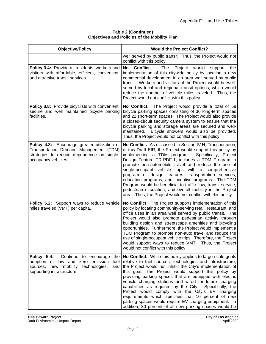| <b>Objective/Policy</b>                                                                                                                                              | <b>Would the Project Conflict?</b>                                                                                                                                                                                                                                                                                                                                                                                                                                                                                                                                                                                                                                  |
|----------------------------------------------------------------------------------------------------------------------------------------------------------------------|---------------------------------------------------------------------------------------------------------------------------------------------------------------------------------------------------------------------------------------------------------------------------------------------------------------------------------------------------------------------------------------------------------------------------------------------------------------------------------------------------------------------------------------------------------------------------------------------------------------------------------------------------------------------|
|                                                                                                                                                                      | well served by public transit. Thus, the Project would not<br>conflict with this policy.                                                                                                                                                                                                                                                                                                                                                                                                                                                                                                                                                                            |
| Policy 3.4: Provide all residents, workers and<br>visitors with affordable, efficient, convenient,<br>and attractive transit services.                               | Conflict.<br><b>No</b><br>Project<br>would<br>The<br>support<br>the<br>implementation of this citywide policy by locating a new<br>commercial development in an area well served by public<br>transit. Workers and visitors of the Project would be well-<br>served by local and regional transit options, which would<br>reduce the number of vehicle miles traveled. Thus, the<br>Project would not conflict with this policy.                                                                                                                                                                                                                                    |
| Policy 3.8: Provide bicyclists with convenient,<br>secure and well maintained bicycle parking<br>facilities.                                                         | No Conflict. The Project would provide a total of 58<br>bicycle parking spaces consisting of 36 long-term spaces<br>and 22 short-term spaces. The Project would also provide<br>a closed-circuit security camera system to ensure that the<br>bicycle parking and storage areas are secured and well-<br>Bicycle showers would also be provided.<br>maintained.<br>Thus, the Project would not conflict with this policy.                                                                                                                                                                                                                                           |
| Policy 4.8: Encourage greater utilization of<br>Transportation Demand Management (TDM)<br>strategies to reduce dependence on single-<br>occupancy vehicles.          | No Conflict. As discussed in Section IV.H, Transportation,<br>of this Draft EIR, the Project would support this policy by<br>implementing a TDM program.<br>Specifically, Project<br>Design Feature TR-PDF-1, includes a TDM Program to<br>promote non-automobile travel and reduce the use of<br>single-occupant vehicle trips with a comprehensive<br>program of design features, transportation services,<br>education programs, and incentive programs. The TDM<br>Program would be beneficial to traffic flow, transit service,<br>pedestrian circulation, and overall mobility in the Project<br>area. Thus, the Project would not conflict with this policy. |
| Policy 5.2: Support ways to reduce vehicle<br>miles traveled (VMT) per capita.                                                                                       | No Conflict. The Project supports implementation of this<br>policy by locating community-serving retail, restaurant, and<br>office uses in an area well served by public transit. The<br>Project would also promote pedestrian activity through<br>building design and streetscape amenities and bicycling<br>opportunities. Furthermore, the Project would implement a<br>TDM Program to promote non-auto travel and reduce the<br>use of single-occupant vehicle trips. Therefore, the Project<br>would support ways to reduce VMT. Thus, the Project<br>would not conflict with this policy.                                                                     |
| Policy 5.4:<br>Continue to encourage<br>the<br>adoption of low and zero emission<br>fuel<br>sources, new mobility technologies,<br>and<br>supporting infrastructure. | No Conflict. While this policy applies to large-scale goals<br>relative to fuel sources, technologies and infrastructure,<br>the Project would not inhibit the City's implementation of<br>this goal. The Project would support this policy by<br>providing parking spaces that are equipped with electric<br>vehicle charging stations and wired for future charging<br>capabilities as required by the City. Specifically, the<br>Project would comply with the City's EV charging<br>requirements which specifies that 10 percent of new<br>parking spaces would require EV charging equipment. In<br>addition, 30 percent of all new parking spaces would be    |

# **Table 2 (Continued) Objectives and Policies of the Mobility Plan**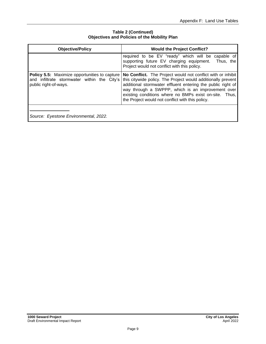| <b>Objective/Policy</b>                                                                                                      | <b>Would the Project Conflict?</b>                                                                                                                                                                                                                                                                                                                            |
|------------------------------------------------------------------------------------------------------------------------------|---------------------------------------------------------------------------------------------------------------------------------------------------------------------------------------------------------------------------------------------------------------------------------------------------------------------------------------------------------------|
|                                                                                                                              | required to be EV "ready" which will be capable of<br>supporting future EV charging equipment.<br>Thus, the<br>Project would not conflict with this policy.                                                                                                                                                                                                   |
| <b>Policy 5.5:</b> Maximize opportunities to capture<br>and infiltrate stormwater within the City's<br>public right-of-ways. | No Conflict. The Project would not conflict with or inhibit<br>this citywide policy. The Project would additionally prevent<br>additional stormwater effluent entering the public right of<br>way through a SWPPP, which is an improvement over<br>existing conditions where no BMPs exist on-site. Thus,<br>the Project would not conflict with this policy. |
| Source: Eyestone Environmental, 2022.                                                                                        |                                                                                                                                                                                                                                                                                                                                                               |

# **Table 2 (Continued) Objectives and Policies of the Mobility Plan**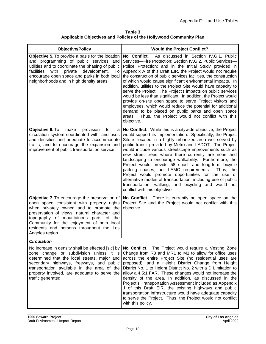**Table 3 Applicable Objectives and Policies of the Hollywood Community Plan**

| <b>Objective/Policy</b>                                                                                                                                                                                                                                                                                                                      | <b>Would the Project Conflict?</b>                                                                                                                                                                                                                                                                                                                                                                                                                                                                                                                                                                                                                                                                                                                                                                                                         |
|----------------------------------------------------------------------------------------------------------------------------------------------------------------------------------------------------------------------------------------------------------------------------------------------------------------------------------------------|--------------------------------------------------------------------------------------------------------------------------------------------------------------------------------------------------------------------------------------------------------------------------------------------------------------------------------------------------------------------------------------------------------------------------------------------------------------------------------------------------------------------------------------------------------------------------------------------------------------------------------------------------------------------------------------------------------------------------------------------------------------------------------------------------------------------------------------------|
| Objective 5. To provide a basis for the location<br>and programming of public services and<br>utilities and to coordinate the phasing of public<br>development.<br>facilities<br>with<br>private<br>To<br>encourage open space and parks in both local<br>neighborhoods and in high density areas.                                           | No Conflict.<br>As discussed in Section IV.G.1, Public<br>Services-Fire Protection; Section IV.G.2, Public Services-<br>Police Protection; and in the Initial Study provided in<br>Appendix A of this Draft EIR, the Project would not require<br>the construction of public services facilities, the construction<br>of which would cause significant environmental impacts. In<br>addition, utilities to the Project Site would have capacity to<br>serve the Project. The Project's impacts on public services<br>would be less than significant. In addition, the Project would<br>provide on-site open space to serve Project visitors and<br>employees, which would reduce the potential for additional<br>demand to be placed on public parks and open space<br>areas. Thus, the Project would not conflict with this<br>objective. |
| make<br>Objective 6. To<br>provision<br>for<br>a<br>circulation system coordinated with land uses<br>and densities and adequate to accommodate<br>traffic; and to encourage the expansion and<br>improvement of public transportation service.                                                                                               | No Conflict. While this is a citywide objective, the Project<br>would support its implementation. Specifically, the Project<br>Site is located in a highly urbanized area well-served by<br>public transit provided by Metro and LADOT. The Project<br>would include various streetscape improvements such as<br>new street trees where there currently are none and<br>landscaping to encourage walkability. Furthermore, the<br>Project would provide 58 short- and long-term bicycle<br>parking spaces, per LAMC requirements.<br>Thus, the<br>Project would promote opportunities for the use of<br>alternative modes of transportation, including use of public<br>transportation, walking, and bicycling and would not<br>conflict with this objective                                                                               |
| Objective 7. To encourage the preservation of<br>open space consistent with property rights<br>when privately owned and to promote the<br>preservation of views, natural character and<br>topography of mountainous parts of the<br>Community for the enjoyment of both local<br>residents and persons throughout the Los<br>Angeles region. | No Conflict. There is currently no open space on the<br>Project Site and the Project would not conflict with this<br>objective.                                                                                                                                                                                                                                                                                                                                                                                                                                                                                                                                                                                                                                                                                                            |
| <b>Circulation</b>                                                                                                                                                                                                                                                                                                                           |                                                                                                                                                                                                                                                                                                                                                                                                                                                                                                                                                                                                                                                                                                                                                                                                                                            |
| No increase in density shall be effected [sic] by<br>zone change or subdivision unless it is<br>determined that the local streets, major and<br>secondary highways, freeways, and public<br>transportation available in the area of the<br>property involved, are adequate to serve the<br>traffic generated.                                | No Conflict. The Project would require a Vesting Zone<br>Change from R3 and MR1 to M1 to allow for office uses<br>across the entire Project Site (no residential uses are<br>proposed); and a Height District Change from Height<br>District No. 1 to Height District No. 2 with a D Limitation to<br>allow a 4.5:1 FAR. These changes would not increase the<br>density of the area. In addition, as discussed in the<br>Project's Transportation Assessment included as Appendix<br>J of this Draft EIR, the existing highways and public<br>transportation infrastructure would have adequate capacity<br>to serve the Project. Thus, the Project would not conflict<br>with this policy.                                                                                                                                               |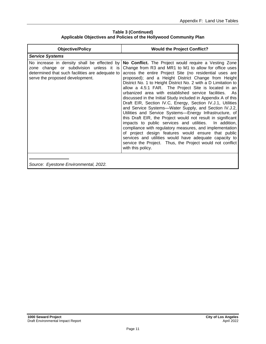**Table 3 (Continued) Applicable Objectives and Policies of the Hollywood Community Plan**

| <b>Objective/Policy</b>                                                                                                                                                      | <b>Would the Project Conflict?</b>                                                                                                                                                                                                                                                                                                                                                                                                                                                                                                                                                                                                                                                                                                                                                                                                                                                                                                                                                                                                                                    |
|------------------------------------------------------------------------------------------------------------------------------------------------------------------------------|-----------------------------------------------------------------------------------------------------------------------------------------------------------------------------------------------------------------------------------------------------------------------------------------------------------------------------------------------------------------------------------------------------------------------------------------------------------------------------------------------------------------------------------------------------------------------------------------------------------------------------------------------------------------------------------------------------------------------------------------------------------------------------------------------------------------------------------------------------------------------------------------------------------------------------------------------------------------------------------------------------------------------------------------------------------------------|
| <b>Service Systems</b>                                                                                                                                                       |                                                                                                                                                                                                                                                                                                                                                                                                                                                                                                                                                                                                                                                                                                                                                                                                                                                                                                                                                                                                                                                                       |
| No increase in density shall be effected by<br>zone change or subdivision unless it is<br>determined that such facilities are adequate to<br>serve the proposed development. | No Conflict. The Project would require a Vesting Zone<br>Change from R3 and MR1 to M1 to allow for office uses<br>across the entire Project Site (no residential uses are<br>proposed); and a Height District Change from Height<br>District No. 1 to Height District No. 2 with a D Limitation to<br>allow a 4.5:1 FAR. The Project Site is located in an<br>urbanized area with established service facilities.<br>As.<br>discussed in the Initial Study included in Appendix A of this<br>Draft EIR, Section IV.C, Energy, Section IV.J.1, Utilities<br>and Service Systems-Water Supply, and Section IV.J.2,<br>Utilities and Service Systems-Energy Infrastructure, of<br>this Draft EIR, the Project would not result in significant<br>impacts to public services and utilities.<br>In addition,<br>compliance with regulatory measures, and implementation<br>of project design features would ensure that public<br>services and utilities would have adequate capacity to<br>service the Project. Thus, the Project would not conflict<br>with this policy. |
| Source: Eyestone Environmental, 2022.                                                                                                                                        |                                                                                                                                                                                                                                                                                                                                                                                                                                                                                                                                                                                                                                                                                                                                                                                                                                                                                                                                                                                                                                                                       |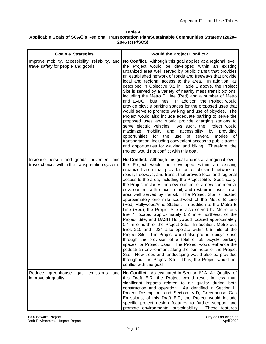#### **Table 4 Applicable Goals of SCAG's Regional Transportation Plan/Sustainable Communities Strategy (2020– 2045 RTP/SCS)**

| <b>Goals &amp; Strategies</b>                                                              | <b>Would the Project Conflict?</b>                                                                                                                                                                                                                                                                                                                                                                                                                                                                                                                                                                                                                                                                                                                                                                                                                                                                                                                                                                                                                                                                                                                                                                                                                                                                                           |
|--------------------------------------------------------------------------------------------|------------------------------------------------------------------------------------------------------------------------------------------------------------------------------------------------------------------------------------------------------------------------------------------------------------------------------------------------------------------------------------------------------------------------------------------------------------------------------------------------------------------------------------------------------------------------------------------------------------------------------------------------------------------------------------------------------------------------------------------------------------------------------------------------------------------------------------------------------------------------------------------------------------------------------------------------------------------------------------------------------------------------------------------------------------------------------------------------------------------------------------------------------------------------------------------------------------------------------------------------------------------------------------------------------------------------------|
| Improve mobility, accessibility, reliability, and<br>travel safety for people and goods.   | No Conflict. Although this goal applies at a regional level,<br>the Project would be developed within an existing<br>urbanized area well served by public transit that provides<br>an established network of roads and freeways that provide<br>local and regional access to the area. In addition, as<br>described in Objective 3.2 in Table 1 above, the Project<br>Site is served by a variety of nearby mass transit options,<br>including the Metro B Line (Red) and a number of Metro<br>and LADOT bus lines. In addition, the Project would<br>provide bicycle parking spaces for the proposed uses that<br>would serve to promote walking and use of bicycles. The<br>Project would also include adequate parking to serve the<br>proposed uses and would provide charging stations to<br>serve electric vehicles.<br>As such, the Project would<br>accessibility<br>maximize<br>mobility and<br>by providing<br>opportunities for the use of several<br>modes of<br>transportation, including convenient access to public transit<br>and opportunities for walking and biking. Therefore, the<br>Project would not conflict with this goal.                                                                                                                                                                         |
| Increase person and goods movement and<br>travel choices within the transportation system. | No Conflict. Although this goal applies at a regional level,<br>the Project would be developed within an existing<br>urbanized area that provides an established network of<br>roads, freeways, and transit that provide local and regional<br>access to the area, including the Project Site. Specifically,<br>the Project includes the development of a new commercial<br>development with office, retail, and restaurant uses in an<br>area well served by transit. The Project Site is located<br>approximately one mile southwest of the Metro B Line<br>(Red) Hollywood/Vine Station. In addition to the Metro B<br>Line (Red), the Project Site is also served by Metro bus<br>line 4 located approximately 0.2 mile northeast of the<br>Project Site; and DASH Hollywood located approximately<br>0.4 mile north of the Project Site. In addition, Metro bus<br>lines 210 and 224 also operate within 0.5 mile of the<br>Project Site. The Project would also promote bicycle use<br>through the provision of a total of 58 bicycle parking<br>spaces for Project Uses. The Project would enhance the<br>pedestrian environment along the perimeter of the Project<br>Site. New trees and landscaping would also be provided<br>throughout the Project Site. Thus, the Project would not<br>conflict with this goal. |
| Reduce<br>greenhouse<br>emissions<br>gas<br>and<br>improve air quality.                    | No Conflict. As evaluated in Section IV.A, Air Quality, of<br>this Draft EIR, the Project would result in less than<br>significant impacts related to air quality during both<br>construction and operation. As identified in Section II,<br>Project Description, and Section IV.D, Greenhouse Gas<br>Emissions, of this Draft EIR, the Project would include<br>specific project design features to further support and<br>promote environmental sustainability.<br>These features                                                                                                                                                                                                                                                                                                                                                                                                                                                                                                                                                                                                                                                                                                                                                                                                                                          |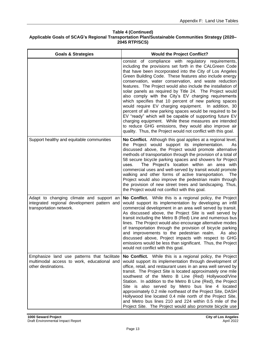#### **Table 4 (Continued) Applicable Goals of SCAG's Regional Transportation Plan/Sustainable Communities Strategy (2020– 2045 RTP/SCS)**

| <b>Goals &amp; Strategies</b>                                                                                      | <b>Would the Project Conflict?</b>                                                                                                                                                                                                                                                                                                                                                                                                                                                                                                                                                                                                                                                                                                                                                                                                                                                                            |
|--------------------------------------------------------------------------------------------------------------------|---------------------------------------------------------------------------------------------------------------------------------------------------------------------------------------------------------------------------------------------------------------------------------------------------------------------------------------------------------------------------------------------------------------------------------------------------------------------------------------------------------------------------------------------------------------------------------------------------------------------------------------------------------------------------------------------------------------------------------------------------------------------------------------------------------------------------------------------------------------------------------------------------------------|
|                                                                                                                    | consist of compliance with regulatory requirements,<br>including the provisions set forth in the CALGreen Code<br>that have been incorporated into the City of Los Angeles<br>Green Building Code. These features also include energy<br>conservation, water conservation, and waste reduction<br>features. The Project would also include the installation of<br>solar panels as required by Title 24. The Project would<br>also comply with the City's EV charging requirements<br>which specifies that 10 percent of new parking spaces<br>would require EV charging equipment. In addition, 30<br>percent of all new parking spaces would be required to be<br>EV "ready" which will be capable of supporting future EV<br>charging equipment. While these measures are intended<br>to reduce GHG emissions, they would also improve air<br>quality. Thus, the Project would not conflict with this goal. |
| Support healthy and equitable communities                                                                          | No Conflict. Although this goal applies at a regional level,<br>the Project would support its implementation.<br>As<br>discussed above, the Project would promote alternative<br>methods of transportation through the provision of a total of<br>58 secure bicycle parking spaces and showers for Project<br>The Project's location within an area with<br>uses.<br>commercial uses and well-served by transit would promote<br>walking and other forms of active transportation.<br><b>The</b><br>Project would also improve the pedestrian realm through<br>the provision of new street trees and landscaping. Thus,<br>the Project would not conflict with this goal.                                                                                                                                                                                                                                     |
| Adapt to changing climate and support an<br>integrated regional development pattern and<br>transportation network. | No Conflict. While this is a regional policy, the Project<br>would support its implementation by developing an infill<br>commercial development in an area well served by transit.<br>As discussed above, the Project Site is well served by<br>transit including the Metro B (Red) Line and numerous bus<br>lines. The Project would also encourage alternative modes<br>of transportation through the provision of bicycle parking<br>and improvements to the pedestrian realm. As also<br>discussed above, Project impacts with respect to GHG<br>emissions would be less than significant. Thus, the Project<br>would not conflict with this goal.                                                                                                                                                                                                                                                        |
| Emphasize land use patterns that facilitate<br>multimodal access to work, educational and<br>other destinations.   | No Conflict. While this is a regional policy, the Project<br>would support its implementation through development of<br>office, retail, and restaurant uses in an area well served by<br>transit. The Project Site is located approximately one mile<br>southwest of the Metro B Line (Red) Hollywood/Vine<br>Station. In addition to the Metro B Line (Red), the Project<br>Site is also served by Metro bus line 4 located<br>approximately 0.2 mile northeast of the Project Site, DASH<br>Hollywood line located 0.4 mile north of the Project Site,<br>and Metro bus lines 210 and 224 within 0.5 mile of the<br>Project Site. The Project would also promote bicycle use                                                                                                                                                                                                                                |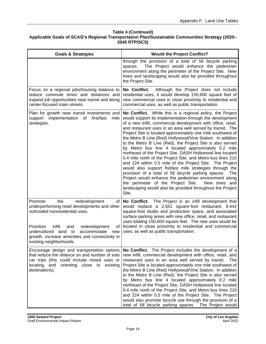#### **Table 4 (Continued) Applicable Goals of SCAG's Regional Transportation Plan/Sustainable Communities Strategy (2020– 2045 RTP/SCS)**

| <b>Goals &amp; Strategies</b>                                                                                                                                                                                                                                                                             | <b>Would the Project Conflict?</b>                                                                                                                                                                                                                                                                                                                                                                                                                                                                                                                                                                                                                                                                                                                                                                                                                                                                                                                                                                         |
|-----------------------------------------------------------------------------------------------------------------------------------------------------------------------------------------------------------------------------------------------------------------------------------------------------------|------------------------------------------------------------------------------------------------------------------------------------------------------------------------------------------------------------------------------------------------------------------------------------------------------------------------------------------------------------------------------------------------------------------------------------------------------------------------------------------------------------------------------------------------------------------------------------------------------------------------------------------------------------------------------------------------------------------------------------------------------------------------------------------------------------------------------------------------------------------------------------------------------------------------------------------------------------------------------------------------------------|
|                                                                                                                                                                                                                                                                                                           | through the provision of a total of 58 bicycle parking<br>The Project would enhance the pedestrian<br>spaces.<br>environment along the perimeter of the Project Site. New<br>trees and landscaping would also be provided throughout<br>the Project Site.                                                                                                                                                                                                                                                                                                                                                                                                                                                                                                                                                                                                                                                                                                                                                  |
| Focus on a regional jobs/housing balance to<br>reduce commute times and distances and<br>expand job opportunities near transit and along<br>center-focused main streets.                                                                                                                                  | Although the Project does not include<br>No Conflict.<br>residential uses, it would develop 150,600 square feet of<br>new commercial uses in close proximity to residential and<br>commercial uses, as well as public transportation.                                                                                                                                                                                                                                                                                                                                                                                                                                                                                                                                                                                                                                                                                                                                                                      |
| Plan for growth near transit investments and<br>support implementation<br>of<br>first/last<br>mile<br>strategies.                                                                                                                                                                                         | No Conflict. While this is a regional policy, the Project<br>would support its implementation through the development<br>of a new infill, commercial development with office, retail,<br>and restaurant uses in an area well served by transit. The<br>Project Site is located approximately one mile southwest of<br>the Metro B Line (Red) Hollywood/Vine Station. In addition<br>to the Metro B Line (Red), the Project Site is also served<br>by Metro bus line 4 located approximately 0.2 mile<br>northeast of the Project Site, DASH Hollywood line located<br>0.4 mile north of the Project Site, and Metro bus lines 210<br>and 224 within 0.5 mile of the Project Site. The Project<br>would also support fist/last mile strategies through the<br>provision of a total of 58 bicycle parking spaces. The<br>Project would enhance the pedestrian environment along<br>the perimeter of the Project Site.<br>New trees and<br>landscaping would also be provided throughout the Project<br>Site. |
| Promote<br>the<br>redevelopment<br>οf<br>underperforming retail developments and other<br>outmoded nonresidential uses.<br>Prioritize<br>infill<br>redevelopment<br>and<br>οf<br>underutilized land to<br>accommodate<br>new<br>growth, increase amenities and connectivity in<br>existing neighborhoods. | No Conflict. The Project is an infill development that<br>would replace a 2,551 square-foot restaurant, 8.442<br>square-foot studio and production space, and associated<br>surface parking areas with new office, retail, and restaurant<br>uses totaling 150,600 square feet. The new uses would be<br>located in close proximity to residential and commercial<br>uses, as well as public transportation.                                                                                                                                                                                                                                                                                                                                                                                                                                                                                                                                                                                               |
| Encourage design and transportation options<br>that reduce the reliance on and number of solo<br>car trips (this could include mixed uses or<br>locating and<br>orienting close to existing<br>destinations).                                                                                             | No Conflict. The Project includes the development of a<br>new infill, commercial development with office, retail, and<br>restaurant uses in an area well served by transit. The<br>Project Site is located approximately one mile southwest of<br>the Metro B Line (Red) Hollywood/Vine Station. In addition<br>to the Metro B Line (Red), the Project Site is also served<br>by Metro bus line 4 located approximately 0.2 mile<br>northeast of the Project Site, DASH Hollywood line located<br>0.4 mile north of the Project Site, and Metro bus lines 210<br>and 224 within 0.5 mile of the Project Site. The Project<br>would also promote bicycle use through the provision of a<br>total of 58 bicycle parking spaces. The Project would                                                                                                                                                                                                                                                            |